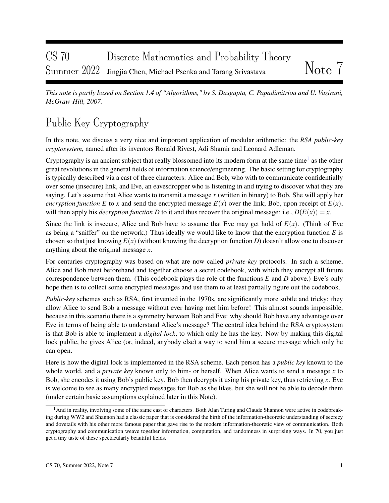## CS 70 Discrete Mathematics and Probability Theory  $\frac{1}{2}$ Summer 2022 Jingjia Chen, Michael Psenka and Tarang Srivastava  $\frac{1}{2}$  Note 7

*This note is partly based on Section 1.4 of "Algorithms," by S. Dasgupta, C. Papadimitriou and U. Vazirani, McGraw-Hill, 2007.*

## Public Key Cryptography

In this note, we discuss a very nice and important application of modular arithmetic: the *RSA public-key cryptosystem*, named after its inventors Ronald Rivest, Adi Shamir and Leonard Adleman.

Cryptography is an ancient subject that really blossomed into its modern form at the same time<sup>[1](#page-0-0)</sup> as the other great revolutions in the general fields of information science/engineering. The basic setting for cryptography is typically described via a cast of three characters: Alice and Bob, who with to communicate confidentially over some (insecure) link, and Eve, an eavesdropper who is listening in and trying to discover what they are saying. Let's assume that Alice wants to transmit a message *x* (written in binary) to Bob. She will apply her *encryption function E* to *x* and send the encrypted message  $E(x)$  over the link; Bob, upon receipt of  $E(x)$ , will then apply his *decryption function* D to it and thus recover the original message: i.e.,  $D(E(x)) = x$ .

Since the link is insecure, Alice and Bob have to assume that Eve may get hold of  $E(x)$ . (Think of Eve as being a "sniffer" on the network.) Thus ideally we would like to know that the encryption function *E* is chosen so that just knowing *E*(*x*) (without knowing the decryption function *D*) doesn't allow one to discover anything about the original message *x*.

For centuries cryptography was based on what are now called *private-key* protocols. In such a scheme, Alice and Bob meet beforehand and together choose a secret codebook, with which they encrypt all future correspondence between them. (This codebook plays the role of the functions *E* and *D* above.) Eve's only hope then is to collect some encrypted messages and use them to at least partially figure out the codebook.

*Public-key* schemes such as RSA, first invented in the 1970s, are significantly more subtle and tricky: they allow Alice to send Bob a message without ever having met him before! This almost sounds impossible, because in this scenario there is a symmetry between Bob and Eve: why should Bob have any advantage over Eve in terms of being able to understand Alice's message? The central idea behind the RSA cryptosystem is that Bob is able to implement a *digital lock*, to which only he has the key. Now by making this digital lock public, he gives Alice (or, indeed, anybody else) a way to send him a secure message which only he can open.

Here is how the digital lock is implemented in the RSA scheme. Each person has a *public key* known to the whole world, and a *private key* known only to him- or herself. When Alice wants to send a message *x* to Bob, she encodes it using Bob's public key. Bob then decrypts it using his private key, thus retrieving *x*. Eve is welcome to see as many encrypted messages for Bob as she likes, but she will not be able to decode them (under certain basic assumptions explained later in this Note).

<span id="page-0-0"></span><sup>&</sup>lt;sup>1</sup>And in reality, involving some of the same cast of characters. Both Alan Turing and Claude Shannon were active in codebreaking during WW2 and Shannon had a classic paper that is considered the birth of the information-theoretic understanding of secrecy and dovetails with his other more famous paper that gave rise to the modern information-theoretic view of communication. Both cryptography and communication weave together information, computation, and randomness in surprising ways. In 70, you just get a tiny taste of these spectacularly beautiful fields.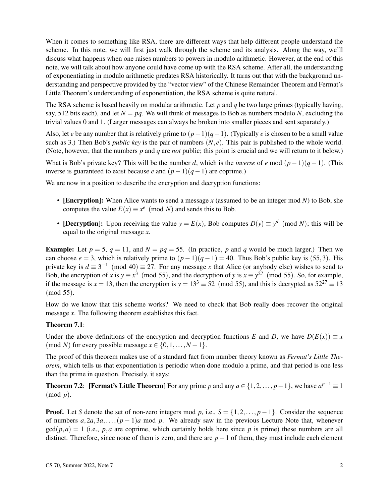When it comes to something like RSA, there are different ways that help different people understand the scheme. In this note, we will first just walk through the scheme and its analysis. Along the way, we'll discuss what happens when one raises numbers to powers in modulo arithmetic. However, at the end of this note, we will talk about how anyone could have come up with the RSA scheme. After all, the understanding of exponentiating in modulo arithmetic predates RSA historically. It turns out that with the background understanding and perspective provided by the "vector view" of the Chinese Remainder Theorem and Fermat's Little Theorem's understanding of exponentiation, the RSA scheme is quite natural.

The RSA scheme is based heavily on modular arithmetic. Let *p* and *q* be two large primes (typically having, say, 512 bits each), and let  $N = pq$ . We will think of messages to Bob as numbers modulo N, excluding the trivial values 0 and 1. (Larger messages can always be broken into smaller pieces and sent separately.)

Also, let *e* be any number that is relatively prime to  $(p-1)(q-1)$ . (Typically *e* is chosen to be a small value such as 3.) Then Bob's *public key* is the pair of numbers  $(N, e)$ . This pair is published to the whole world. (Note, however, that the numbers *p* and *q* are *not* public; this point is crucial and we will return to it below.)

What is Bob's private key? This will be the number *d*, which is the *inverse* of *e* mod  $(p-1)(q-1)$ . (This inverse is guaranteed to exist because *e* and  $(p-1)(q-1)$  are coprime.)

We are now in a position to describe the encryption and decryption functions:

- [Encryption]: When Alice wants to send a message *x* (assumed to be an integer mod *N*) to Bob, she computes the value  $E(x) \equiv x^e \pmod{N}$  and sends this to Bob.
- **[Decryption]:** Upon receiving the value  $y = E(x)$ , Bob computes  $D(y) \equiv y^d \pmod{N}$ ; this will be equal to the original message *x*.

**Example:** Let  $p = 5$ ,  $q = 11$ , and  $N = pq = 55$ . (In practice, p and q would be much larger.) Then we can choose  $e = 3$ , which is relatively prime to  $(p-1)(q-1) = 40$ . Thus Bob's public key is (55,3). His private key is  $d \equiv 3^{-1} \pmod{40} \equiv 27$ . For any message x that Alice (or anybody else) wishes to send to Bob, the encryption of *x* is  $y \equiv x^3 \pmod{55}$ , and the decryption of *y* is  $x \equiv y^{27} \pmod{55}$ . So, for example, if the message is  $x = 13$ , then the encryption is  $y = 13^3 \equiv 52 \pmod{55}$ , and this is decrypted as  $52^{27} \equiv 13$ (mod 55).

How do we know that this scheme works? We need to check that Bob really does recover the original message *x*. The following theorem establishes this fact.

## <span id="page-1-0"></span>Theorem 7.1:

Under the above definitions of the encryption and decryption functions *E* and *D*, we have  $D(E(x)) \equiv x$ (mod *N*) for every possible message  $x \in \{0, 1, ..., N-1\}$ .

The proof of this theorem makes use of a standard fact from number theory known as *Fermat's Little Theorem*, which tells us that exponentiation is periodic when done modulo a prime, and that period is one less than the prime in question. Precisely, it says:

**Theorem 7.2:** [Fermat's Little Theorem] For any prime *p* and any  $a \in \{1, 2, ..., p-1\}$ , we have  $a^{p-1} \equiv 1$ (mod *p*).

**Proof.** Let *S* denote the set of non-zero integers mod *p*, i.e.,  $S = \{1, 2, ..., p - 1\}$ . Consider the sequence of numbers  $a, 2a, 3a, \ldots, (p-1)a$  mod p. We already saw in the previous Lecture Note that, whenever  $gcd(p,a) = 1$  (i.e., *p*,*a* are coprime, which certainly holds here since *p* is prime) these numbers are all distinct. Therefore, since none of them is zero, and there are *p*−1 of them, they must include each element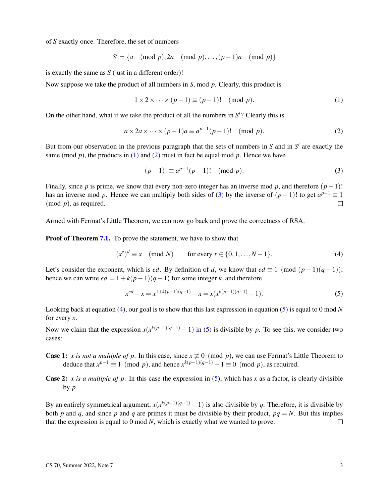of *S* exactly once. Therefore, the set of numbers

$$
S' = \{a \pmod{p}, 2a \pmod{p}, \dots, (p-1)a \pmod{p}\}
$$

is exactly the same as *S* (just in a different order)!

Now suppose we take the product of all numbers in *S*, mod *p*. Clearly, this product is

<span id="page-2-0"></span>
$$
1 \times 2 \times \cdots \times (p-1) \equiv (p-1)! \pmod{p}.
$$
 (1)

On the other hand, what if we take the product of all the numbers in  $S'$ ? Clearly this is

<span id="page-2-1"></span>
$$
a \times 2a \times \dots \times (p-1)a \equiv a^{p-1}(p-1)! \pmod{p}.
$$
 (2)

But from our observation in the previous paragraph that the sets of numbers in  $S$  and in  $S'$  are exactly the same (mod  $p$ ), the products in [\(1\)](#page-2-0) and [\(2\)](#page-2-1) must in fact be equal mod  $p$ . Hence we have

<span id="page-2-2"></span>
$$
(p-1)! \equiv a^{p-1}(p-1)! \pmod{p}.
$$
 (3)

Finally, since *p* is prime, we know that every non-zero integer has an inverse mod *p*, and therefore  $(p-1)!$ has an inverse mod *p*. Hence we can multiply both sides of [\(3\)](#page-2-2) by the inverse of  $(p-1)!$  to get  $a^{p-1} \equiv 1$ (mod *p*), as required.  $\Box$ 

Armed with Fermat's Little Theorem, we can now go back and prove the correctness of RSA.

**Proof of Theorem [7.1.](#page-1-0)** To prove the statement, we have to show that

<span id="page-2-3"></span>
$$
(xe)d \equiv x \pmod{N} \qquad \text{for every } x \in \{0, 1, \dots, N-1\}.
$$
 (4)

Let's consider the exponent, which is *ed*. By definition of *d*, we know that  $ed \equiv 1 \pmod{(p-1)(q-1)}$ ; hence we can write  $ed = 1 + k(p-1)(q-1)$  for some integer k, and therefore

<span id="page-2-4"></span>
$$
x^{ed} - x = x^{1 + k(p-1)(q-1)} - x = x(x^{k(p-1)(q-1)} - 1).
$$
\n(5)

Looking back at equation [\(4\)](#page-2-3), our goal is to show that this last expression in equation [\(5\)](#page-2-4) is equal to 0 mod *N* for every *x*.

Now we claim that the expression  $x(x^{k(p-1)(q-1)} - 1)$  in [\(5\)](#page-2-4) is divisible by p. To see this, we consider two cases:

- **Case 1:** *x is not a multiple of p*. In this case, since  $x \neq 0 \pmod{p}$ , we can use Fermat's Little Theorem to deduce that  $x^{p-1} \equiv 1 \pmod{p}$ , and hence  $x^{k(p-1)(q-1)} - 1 \equiv 0 \pmod{p}$ , as required.
- Case 2: *x is a multiple of p*. In this case the expression in [\(5\)](#page-2-4), which has *x* as a factor, is clearly divisible by *p*.

By an entirely symmetrical argument,  $x(x^{k(p-1)(q-1)} - 1)$  is also divisible by q. Therefore, it is divisible by both *p* and *q*, and since *p* and *q* are primes it must be divisible by their product,  $pq = N$ . But this implies that the expression is equal to 0 mod *N*, which is exactly what we wanted to prove.  $\Box$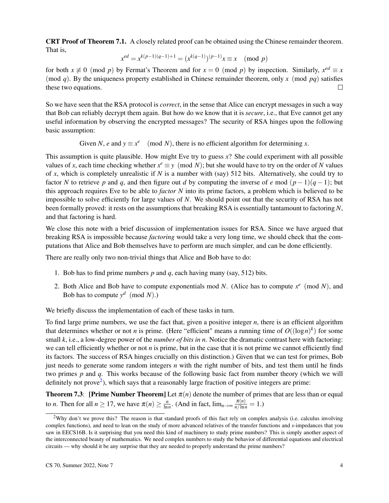CRT Proof of Theorem 7.1. A closely related proof can be obtained using the Chinese remainder theorem. That is,

$$
x^{ed} = x^{k(p-1)(q-1)+1} = (x^{k(q-1)})^{(p-1)}x \equiv x \pmod{p}
$$

for both  $x \not\equiv 0 \pmod{p}$  by Fermat's Theorem and for  $x = 0 \pmod{p}$  by inspection. Similarly,  $x^{ed} \equiv x$ (mod  $q$ ). By the uniqueness property established in Chinese remainder theorem, only x (mod  $pq$ ) satisfies these two equations.  $\Box$ 

So we have seen that the RSA protocol is *correct*, in the sense that Alice can encrypt messages in such a way that Bob can reliably decrypt them again. But how do we know that it is *secure*, i.e., that Eve cannot get any useful information by observing the encrypted messages? The security of RSA hinges upon the following basic assumption:

Given *N*, *e* and  $y \equiv x^e \pmod{N}$ , there is no efficient algorithm for determining *x*.

This assumption is quite plausible. How might Eve try to guess *x*? She could experiment with all possible values of *x*, each time checking whether  $x^e \equiv y \pmod{N}$ ; but she would have to try on the order of *N* values of *x*, which is completely unrealistic if *N* is a number with (say) 512 bits. Alternatively, she could try to factor *N* to retrieve *p* and *q*, and then figure out *d* by computing the inverse of *e* mod  $(p-1)(q-1)$ ; but this approach requires Eve to be able to *factor N* into its prime factors, a problem which is believed to be impossible to solve efficiently for large values of *N*. We should point out that the security of RSA has not been formally proved: it rests on the assumptions that breaking RSA is essentially tantamount to factoring *N*, and that factoring is hard.

We close this note with a brief discussion of implementation issues for RSA. Since we have argued that breaking RSA is impossible because *factoring* would take a very long time, we should check that the computations that Alice and Bob themselves have to perform are much simpler, and can be done efficiently.

There are really only two non-trivial things that Alice and Bob have to do:

- 1. Bob has to find prime numbers *p* and *q*, each having many (say, 512) bits.
- 2. Both Alice and Bob have to compute exponentials mod *N*. (Alice has to compute  $x^e \pmod{N}$ , and Bob has to compute  $y^d \pmod{N}$ .

We briefly discuss the implementation of each of these tasks in turn.

To find large prime numbers, we use the fact that, given a positive integer *n*, there is an efficient algorithm that determines whether or not *n* is prime. (Here "efficient" means a running time of  $O((\log n)^k)$  for some small *k*, i.e., a low-degree power of the *number of bits in n*. Notice the dramatic contrast here with factoring: we can tell efficiently whether or not *n* is prime, but in the case that it is not prime we cannot efficiently find its factors. The success of RSA hinges crucially on this distinction.) Given that we can test for primes, Bob just needs to generate some random integers *n* with the right number of bits, and test them until he finds two primes *p* and *q*. This works because of the following basic fact from number theory (which we will definitely not prove<sup>[2](#page-3-0)</sup>), which says that a reasonably large fraction of positive integers are prime:

**Theorem 7.3: [Prime Number Theorem]** Let  $\pi(n)$  denote the number of primes that are less than or equal to *n*. Then for all  $n \ge 17$ , we have  $\pi(n) \ge \frac{n}{\ln n}$  $\frac{n}{\ln n}$ . (And in fact,  $\lim_{n\to\infty} \frac{\pi(n)}{n/\ln n} = 1$ .)

<span id="page-3-0"></span><sup>&</sup>lt;sup>2</sup>Why don't we prove this? The reason is that standard proofs of this fact rely on complex analysis (i.e. calculus involving complex functions), and need to lean on the study of more advanced relatives of the transfer functions and *s*-impedances that you saw in EECS16B. Is it surprising that you need this kind of machinery to study prime numbers? This is simply another aspect of the interconnected beauty of mathematics. We need complex numbers to study the behavior of differential equations and electrical circuits — why should it be any surprise that they are needed to properly understand the prime numbers?